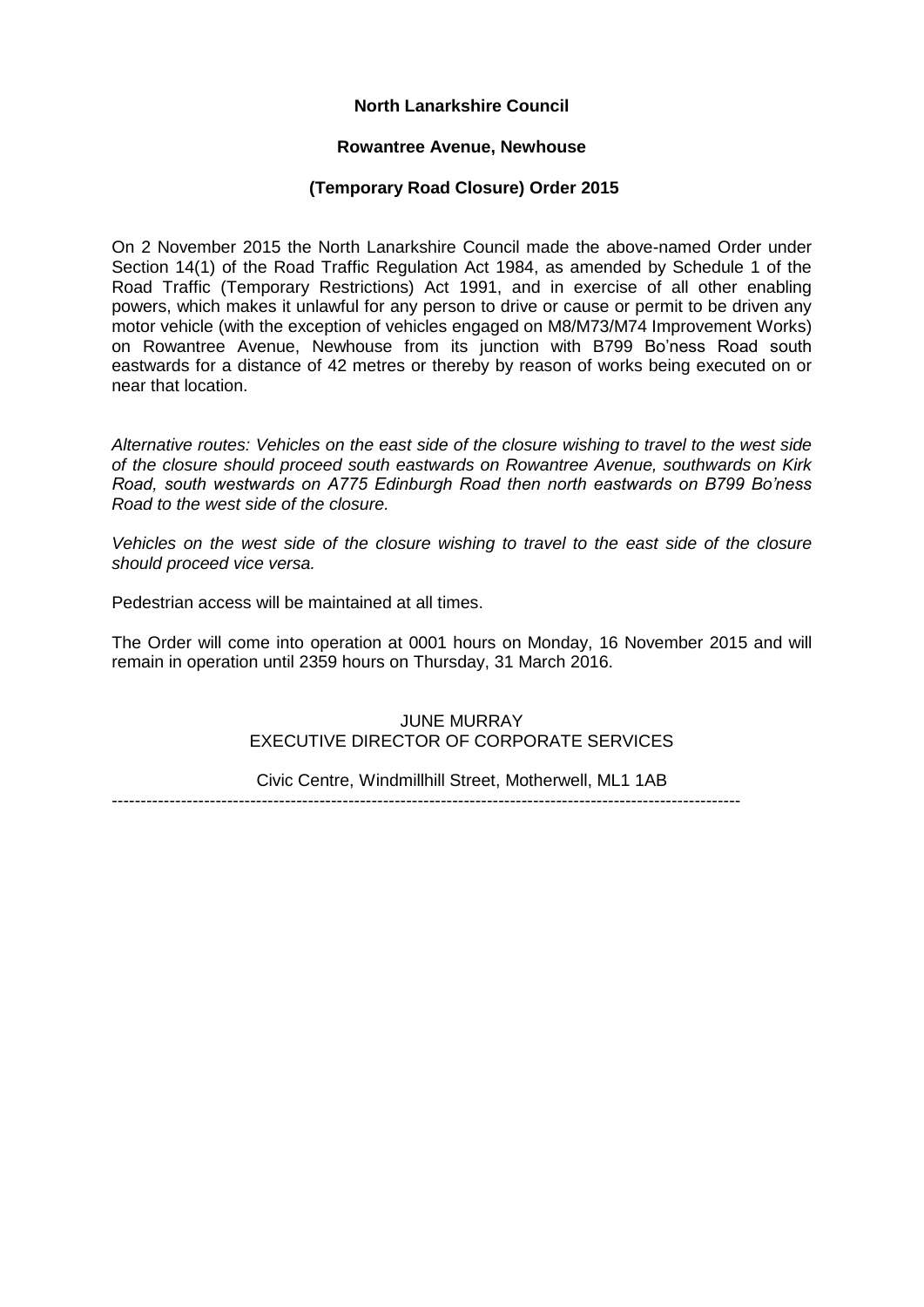# **North Lanarkshire Council**

#### **Rowantree Avenue, Newhouse**

### **(Temporary Road Closure) Order 2015**

On 2 November 2015 the North Lanarkshire Council made the above-named Order under Section 14(1) of the Road Traffic Regulation Act 1984, as amended by Schedule 1 of the Road Traffic (Temporary Restrictions) Act 1991, and in exercise of all other enabling powers, which makes it unlawful for any person to drive or cause or permit to be driven any motor vehicle (with the exception of vehicles engaged on M8/M73/M74 Improvement Works) on Rowantree Avenue, Newhouse from its junction with B799 Bo'ness Road south eastwards for a distance of 42 metres or thereby by reason of works being executed on or near that location.

*Alternative routes: Vehicles on the east side of the closure wishing to travel to the west side of the closure should proceed south eastwards on Rowantree Avenue, southwards on Kirk Road, south westwards on A775 Edinburgh Road then north eastwards on B799 Bo'ness Road to the west side of the closure.*

*Vehicles on the west side of the closure wishing to travel to the east side of the closure should proceed vice versa.*

Pedestrian access will be maintained at all times.

The Order will come into operation at 0001 hours on Monday, 16 November 2015 and will remain in operation until 2359 hours on Thursday, 31 March 2016.

### JUNE MURRAY EXECUTIVE DIRECTOR OF CORPORATE SERVICES

Civic Centre, Windmillhill Street, Motherwell, ML1 1AB -------------------------------------------------------------------------------------------------------------